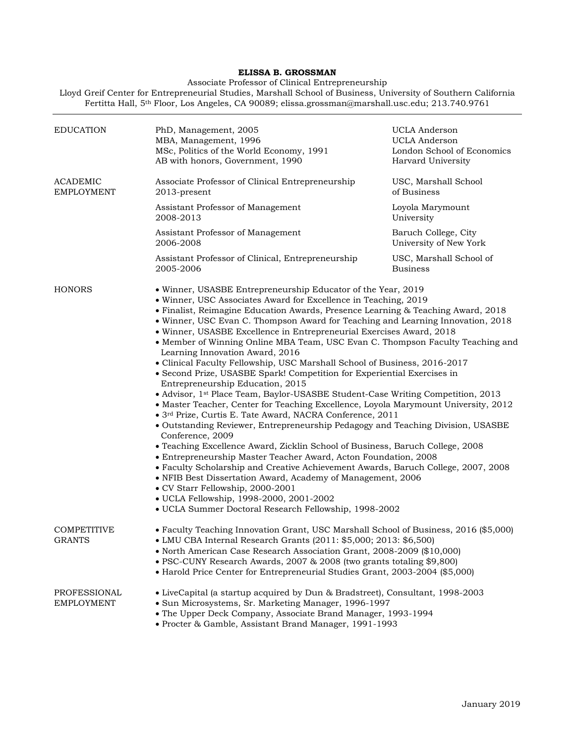## **ELISSA B. GROSSMAN**

Associate Professor of Clinical Entrepreneurship

Lloyd Greif Center for Entrepreneurial Studies, Marshall School of Business, University of Southern California Fertitta Hall, 5th Floor, Los Angeles, CA 90089; elissa.grossman@marshall.usc.edu; 213.740.9761

| <b>EDUCATION</b>                     | PhD, Management, 2005<br>MBA, Management, 1996<br>MSc, Politics of the World Economy, 1991<br>AB with honors, Government, 1990                                                                                                                                                                                                                                                                                                                                                                                                                                                                                                                                                                                                                                                                                                                                                                                                                                                                                                                                                                                                                                                                                                                                                                                                                                                                                                                                                                            | UCLA Anderson<br>UCLA Anderson<br>London School of Economics<br>Harvard University |
|--------------------------------------|-----------------------------------------------------------------------------------------------------------------------------------------------------------------------------------------------------------------------------------------------------------------------------------------------------------------------------------------------------------------------------------------------------------------------------------------------------------------------------------------------------------------------------------------------------------------------------------------------------------------------------------------------------------------------------------------------------------------------------------------------------------------------------------------------------------------------------------------------------------------------------------------------------------------------------------------------------------------------------------------------------------------------------------------------------------------------------------------------------------------------------------------------------------------------------------------------------------------------------------------------------------------------------------------------------------------------------------------------------------------------------------------------------------------------------------------------------------------------------------------------------------|------------------------------------------------------------------------------------|
| <b>ACADEMIC</b><br><b>EMPLOYMENT</b> | Associate Professor of Clinical Entrepreneurship<br>2013-present                                                                                                                                                                                                                                                                                                                                                                                                                                                                                                                                                                                                                                                                                                                                                                                                                                                                                                                                                                                                                                                                                                                                                                                                                                                                                                                                                                                                                                          | USC, Marshall School<br>of Business                                                |
|                                      | Assistant Professor of Management<br>2008-2013                                                                                                                                                                                                                                                                                                                                                                                                                                                                                                                                                                                                                                                                                                                                                                                                                                                                                                                                                                                                                                                                                                                                                                                                                                                                                                                                                                                                                                                            | Loyola Marymount<br>University                                                     |
|                                      | Assistant Professor of Management<br>2006-2008                                                                                                                                                                                                                                                                                                                                                                                                                                                                                                                                                                                                                                                                                                                                                                                                                                                                                                                                                                                                                                                                                                                                                                                                                                                                                                                                                                                                                                                            | Baruch College, City<br>University of New York                                     |
|                                      | Assistant Professor of Clinical, Entrepreneurship<br>2005-2006                                                                                                                                                                                                                                                                                                                                                                                                                                                                                                                                                                                                                                                                                                                                                                                                                                                                                                                                                                                                                                                                                                                                                                                                                                                                                                                                                                                                                                            | USC, Marshall School of<br><b>Business</b>                                         |
| HONORS                               | • Winner, USASBE Entrepreneurship Educator of the Year, 2019<br>• Winner, USC Associates Award for Excellence in Teaching, 2019<br>• Finalist, Reimagine Education Awards, Presence Learning & Teaching Award, 2018<br>• Winner, USC Evan C. Thompson Award for Teaching and Learning Innovation, 2018<br>· Winner, USASBE Excellence in Entrepreneurial Exercises Award, 2018<br>• Member of Winning Online MBA Team, USC Evan C. Thompson Faculty Teaching and<br>Learning Innovation Award, 2016<br>• Clinical Faculty Fellowship, USC Marshall School of Business, 2016-2017<br>• Second Prize, USASBE Spark! Competition for Experiential Exercises in<br>Entrepreneurship Education, 2015<br>• Advisor, 1 <sup>st</sup> Place Team, Baylor-USASBE Student-Case Writing Competition, 2013<br>• Master Teacher, Center for Teaching Excellence, Loyola Marymount University, 2012<br>• 3rd Prize, Curtis E. Tate Award, NACRA Conference, 2011<br>• Outstanding Reviewer, Entrepreneurship Pedagogy and Teaching Division, USASBE<br>Conference, 2009<br>• Teaching Excellence Award, Zicklin School of Business, Baruch College, 2008<br>• Entrepreneurship Master Teacher Award, Acton Foundation, 2008<br>• Faculty Scholarship and Creative Achievement Awards, Baruch College, 2007, 2008<br>• NFIB Best Dissertation Award, Academy of Management, 2006<br>• CV Starr Fellowship, 2000-2001<br>· UCLA Fellowship, 1998-2000, 2001-2002<br>· UCLA Summer Doctoral Research Fellowship, 1998-2002 |                                                                                    |
| <b>COMPETITIVE</b><br><b>GRANTS</b>  | • Faculty Teaching Innovation Grant, USC Marshall School of Business, 2016 (\$5,000)<br>• LMU CBA Internal Research Grants (2011: \$5,000; 2013: \$6,500)<br>• North American Case Research Association Grant, 2008-2009 (\$10,000)<br>• PSC-CUNY Research Awards, 2007 & 2008 (two grants totaling \$9,800)<br>• Harold Price Center for Entrepreneurial Studies Grant, 2003-2004 (\$5,000)                                                                                                                                                                                                                                                                                                                                                                                                                                                                                                                                                                                                                                                                                                                                                                                                                                                                                                                                                                                                                                                                                                              |                                                                                    |
| PROFESSIONAL<br><b>EMPLOYMENT</b>    | • LiveCapital (a startup acquired by Dun & Bradstreet), Consultant, 1998-2003<br>· Sun Microsystems, Sr. Marketing Manager, 1996-1997<br>• The Upper Deck Company, Associate Brand Manager, 1993-1994<br>· Procter & Gamble, Assistant Brand Manager, 1991-1993                                                                                                                                                                                                                                                                                                                                                                                                                                                                                                                                                                                                                                                                                                                                                                                                                                                                                                                                                                                                                                                                                                                                                                                                                                           |                                                                                    |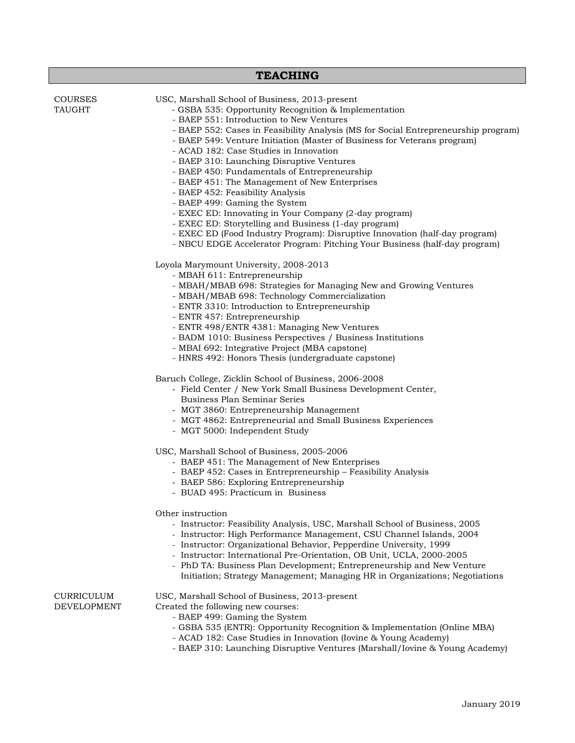| <b>TEACHING</b>                 |                                                                                                                                                                                                                                                                                                                                                                                                                                                                                                                                                                                                                                                                                                                                                                                                                                                                 |  |
|---------------------------------|-----------------------------------------------------------------------------------------------------------------------------------------------------------------------------------------------------------------------------------------------------------------------------------------------------------------------------------------------------------------------------------------------------------------------------------------------------------------------------------------------------------------------------------------------------------------------------------------------------------------------------------------------------------------------------------------------------------------------------------------------------------------------------------------------------------------------------------------------------------------|--|
| <b>COURSES</b><br><b>TAUGHT</b> | USC, Marshall School of Business, 2013-present<br>- GSBA 535: Opportunity Recognition & Implementation<br>- BAEP 551: Introduction to New Ventures<br>- BAEP 552: Cases in Feasibility Analysis (MS for Social Entrepreneurship program)<br>- BAEP 549: Venture Initiation (Master of Business for Veterans program)<br>- ACAD 182: Case Studies in Innovation<br>- BAEP 310: Launching Disruptive Ventures<br>- BAEP 450: Fundamentals of Entrepreneurship<br>- BAEP 451: The Management of New Enterprises<br>- BAEP 452: Feasibility Analysis<br>- BAEP 499: Gaming the System<br>- EXEC ED: Innovating in Your Company (2-day program)<br>- EXEC ED: Storytelling and Business (1-day program)<br>- EXEC ED (Food Industry Program): Disruptive Innovation (half-day program)<br>- NBCU EDGE Accelerator Program: Pitching Your Business (half-day program) |  |
|                                 | Loyola Marymount University, 2008-2013<br>- MBAH 611: Entrepreneurship<br>- MBAH/MBAB 698: Strategies for Managing New and Growing Ventures<br>- MBAH/MBAB 698: Technology Commercialization<br>- ENTR 3310: Introduction to Entrepreneurship<br>- ENTR 457: Entrepreneurship<br>- ENTR 498/ENTR 4381: Managing New Ventures<br>- BADM 1010: Business Perspectives / Business Institutions<br>- MBAI 692: Integrative Project (MBA capstone)<br>- HNRS 492: Honors Thesis (undergraduate capstone)<br>Baruch College, Zicklin School of Business, 2006-2008<br>- Field Center / New York Small Business Development Center,<br>Business Plan Seminar Series                                                                                                                                                                                                     |  |
|                                 | - MGT 3860: Entrepreneurship Management<br>- MGT 4862: Entrepreneurial and Small Business Experiences<br>- MGT 5000: Independent Study<br>USC, Marshall School of Business, 2005-2006<br>- BAEP 451: The Management of New Enterprises<br>- BAEP 452: Cases in Entrepreneurship - Feasibility Analysis<br>- BAEP 586: Exploring Entrepreneurship<br>- BUAD 495: Practicum in Business                                                                                                                                                                                                                                                                                                                                                                                                                                                                           |  |
|                                 | Other instruction<br>- Instructor: Feasibility Analysis, USC, Marshall School of Business, 2005<br>- Instructor: High Performance Management, CSU Channel Islands, 2004<br>- Instructor: Organizational Behavior, Pepperdine University, 1999<br>- Instructor: International Pre-Orientation, OB Unit, UCLA, 2000-2005<br>- PhD TA: Business Plan Development; Entrepreneurship and New Venture<br>Initiation; Strategy Management; Managing HR in Organizations; Negotiations                                                                                                                                                                                                                                                                                                                                                                                  |  |
| CURRICULUM<br>DEVELOPMENT       | USC, Marshall School of Business, 2013-present<br>Created the following new courses:<br>- BAEP 499: Gaming the System<br>- GSBA 535 (ENTR): Opportunity Recognition & Implementation (Online MBA)<br>- ACAD 182: Case Studies in Innovation (Iovine & Young Academy)<br>- BAEP 310: Launching Disruptive Ventures (Marshall/Iovine & Young Academy)                                                                                                                                                                                                                                                                                                                                                                                                                                                                                                             |  |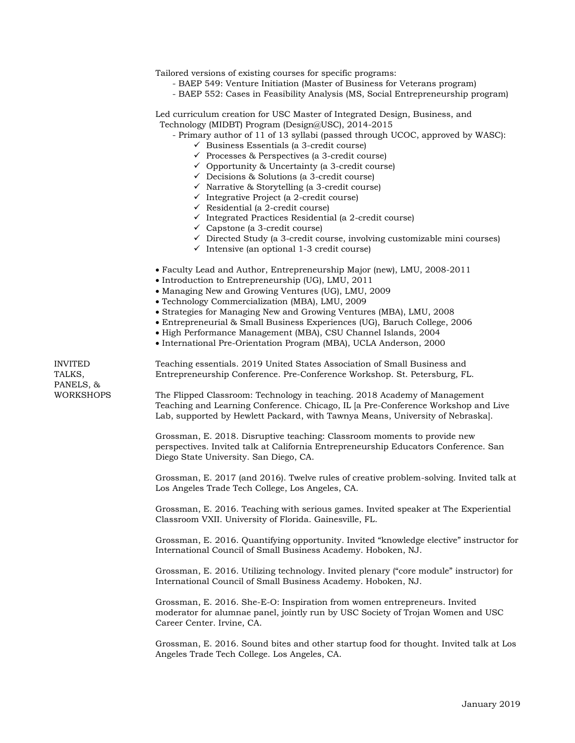Tailored versions of existing courses for specific programs:

- BAEP 549: Venture Initiation (Master of Business for Veterans program)
- BAEP 552: Cases in Feasibility Analysis (MS, Social Entrepreneurship program)

Led curriculum creation for USC Master of Integrated Design, Business, and Technology (MIDBT) Program (Design@USC), 2014-2015

- Primary author of 11 of 13 syllabi (passed through UCOC, approved by WASC):
	- $\checkmark$  Business Essentials (a 3-credit course)
	- $\checkmark$  Processes & Perspectives (a 3-credit course)
	- $\checkmark$  Opportunity & Uncertainty (a 3-credit course)
	- $\checkmark$  Decisions & Solutions (a 3-credit course)
	- $\checkmark$  Narrative & Storytelling (a 3-credit course)
	- $\checkmark$  Integrative Project (a 2-credit course)
	- $\checkmark$  Residential (a 2-credit course)
	- $\checkmark$  Integrated Practices Residential (a 2-credit course)
	- $\checkmark$  Capstone (a 3-credit course)
	- $\checkmark$  Directed Study (a 3-credit course, involving customizable mini courses)
	- $\checkmark$  Intensive (an optional 1-3 credit course)
- Faculty Lead and Author, Entrepreneurship Major (new), LMU, 2008-2011
- Introduction to Entrepreneurship (UG), LMU, 2011
- Managing New and Growing Ventures (UG), LMU, 2009
- Technology Commercialization (MBA), LMU, 2009
- Strategies for Managing New and Growing Ventures (MBA), LMU, 2008
- Entrepreneurial & Small Business Experiences (UG), Baruch College, 2006
- High Performance Management (MBA), CSU Channel Islands, 2004
- International Pre-Orientation Program (MBA), UCLA Anderson, 2000

PANELS, &

INVITED Teaching essentials. 2019 United States Association of Small Business and TALKS, Entrepreneurship Conference. Pre-Conference Workshop. St. Petersburg, FL.

WORKSHOPS The Flipped Classroom: Technology in teaching. 2018 Academy of Management Teaching and Learning Conference. Chicago, IL [a Pre-Conference Workshop and Live Lab, supported by Hewlett Packard, with Tawnya Means, University of Nebraska].

> Grossman, E. 2018. Disruptive teaching: Classroom moments to provide new perspectives. Invited talk at California Entrepreneurship Educators Conference. San Diego State University. San Diego, CA.

Grossman, E. 2017 (and 2016). Twelve rules of creative problem-solving. Invited talk at Los Angeles Trade Tech College, Los Angeles, CA.

Grossman, E. 2016. Teaching with serious games. Invited speaker at The Experiential Classroom VXII. University of Florida. Gainesville, FL.

Grossman, E. 2016. Quantifying opportunity. Invited "knowledge elective" instructor for International Council of Small Business Academy. Hoboken, NJ.

Grossman, E. 2016. Utilizing technology. Invited plenary ("core module" instructor) for International Council of Small Business Academy. Hoboken, NJ.

Grossman, E. 2016. She-E-O: Inspiration from women entrepreneurs. Invited moderator for alumnae panel, jointly run by USC Society of Trojan Women and USC Career Center. Irvine, CA.

Grossman, E. 2016. Sound bites and other startup food for thought. Invited talk at Los Angeles Trade Tech College. Los Angeles, CA.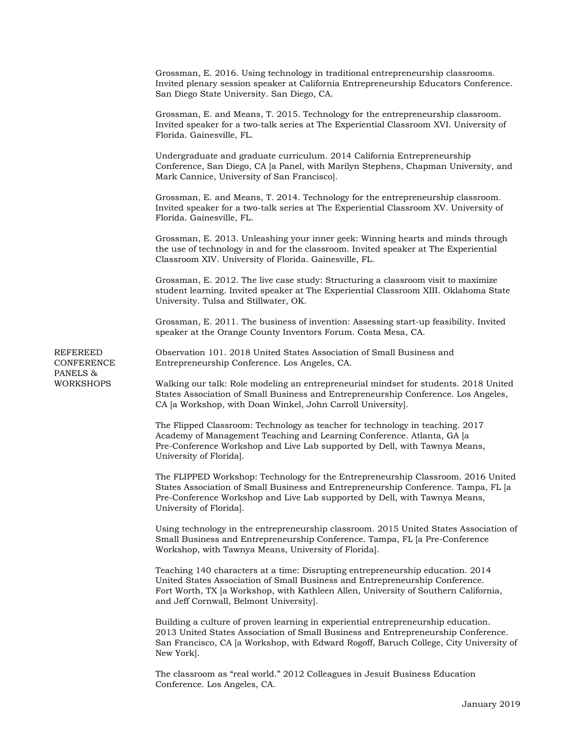Grossman, E. 2016. Using technology in traditional entrepreneurship classrooms. Invited plenary session speaker at California Entrepreneurship Educators Conference. San Diego State University. San Diego, CA. Grossman, E. and Means, T. 2015. Technology for the entrepreneurship classroom. Invited speaker for a two-talk series at The Experiential Classroom XVI. University of Florida. Gainesville, FL. Undergraduate and graduate curriculum. 2014 California Entrepreneurship Conference, San Diego, CA [a Panel, with Marilyn Stephens, Chapman University, and Mark Cannice, University of San Francisco]. Grossman, E. and Means, T. 2014. Technology for the entrepreneurship classroom. Invited speaker for a two-talk series at The Experiential Classroom XV. University of Florida. Gainesville, FL. Grossman, E. 2013. Unleashing your inner geek: Winning hearts and minds through the use of technology in and for the classroom. Invited speaker at The Experiential Classroom XIV. University of Florida. Gainesville, FL. Grossman, E. 2012. The live case study: Structuring a classroom visit to maximize student learning. Invited speaker at The Experiential Classroom XIII. Oklahoma State University. Tulsa and Stillwater, OK. Grossman, E. 2011. The business of invention: Assessing start-up feasibility. Invited speaker at the Orange County Inventors Forum. Costa Mesa, CA. REFEREED Observation 101. 2018 United States Association of Small Business and CONFERENCE Entrepreneurship Conference. Los Angeles, CA. PANELS & WORKSHOPS Walking our talk: Role modeling an entrepreneurial mindset for students. 2018 United States Association of Small Business and Entrepreneurship Conference. Los Angeles, CA [a Workshop, with Doan Winkel, John Carroll University]. The Flipped Classroom: Technology as teacher for technology in teaching. 2017 Academy of Management Teaching and Learning Conference. Atlanta, GA [a Pre-Conference Workshop and Live Lab supported by Dell, with Tawnya Means, University of Florida]. The FLIPPED Workshop: Technology for the Entrepreneurship Classroom. 2016 United States Association of Small Business and Entrepreneurship Conference. Tampa, FL [a Pre-Conference Workshop and Live Lab supported by Dell, with Tawnya Means, University of Florida]. Using technology in the entrepreneurship classroom. 2015 United States Association of Small Business and Entrepreneurship Conference. Tampa, FL [a Pre-Conference Workshop, with Tawnya Means, University of Florida]. Teaching 140 characters at a time: Disrupting entrepreneurship education. 2014 United States Association of Small Business and Entrepreneurship Conference. Fort Worth, TX [a Workshop, with Kathleen Allen, University of Southern California, and Jeff Cornwall, Belmont University]. Building a culture of proven learning in experiential entrepreneurship education. 2013 United States Association of Small Business and Entrepreneurship Conference. San Francisco, CA [a Workshop, with Edward Rogoff, Baruch College, City University of New York]. The classroom as "real world." 2012 Colleagues in Jesuit Business Education Conference. Los Angeles, CA.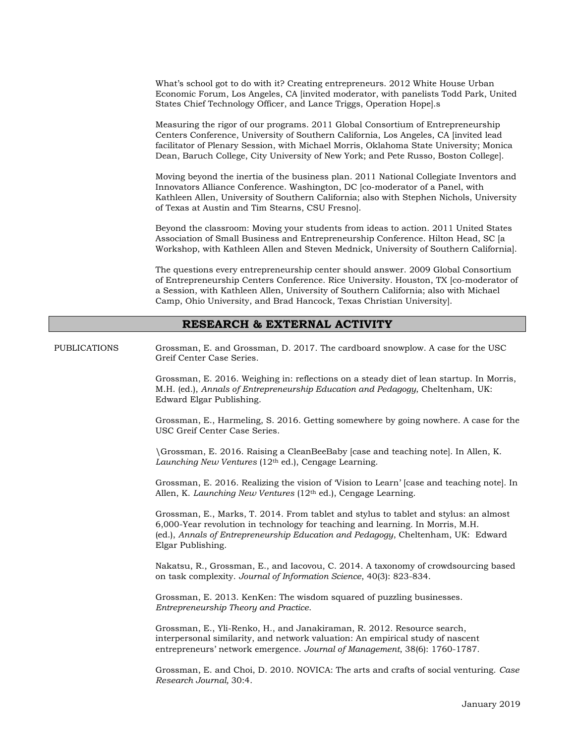What's school got to do with it? Creating entrepreneurs. 2012 White House Urban Economic Forum, Los Angeles, CA [invited moderator, with panelists Todd Park, United States Chief Technology Officer, and Lance Triggs, Operation Hope].s

Measuring the rigor of our programs. 2011 Global Consortium of Entrepreneurship Centers Conference, University of Southern California, Los Angeles, CA [invited lead facilitator of Plenary Session, with Michael Morris, Oklahoma State University; Monica Dean, Baruch College, City University of New York; and Pete Russo, Boston College].

Moving beyond the inertia of the business plan. 2011 National Collegiate Inventors and Innovators Alliance Conference. Washington, DC [co-moderator of a Panel, with Kathleen Allen, University of Southern California; also with Stephen Nichols, University of Texas at Austin and Tim Stearns, CSU Fresno].

Beyond the classroom: Moving your students from ideas to action. 2011 United States Association of Small Business and Entrepreneurship Conference. Hilton Head, SC [a Workshop, with Kathleen Allen and Steven Mednick, University of Southern California].

The questions every entrepreneurship center should answer. 2009 Global Consortium of Entrepreneurship Centers Conference. Rice University. Houston, TX [co-moderator of a Session, with Kathleen Allen, University of Southern California; also with Michael Camp, Ohio University, and Brad Hancock, Texas Christian University].

## **RESEARCH & EXTERNAL ACTIVITY**

PUBLICATIONS Grossman, E. and Grossman, D. 2017. The cardboard snowplow. A case for the USC Greif Center Case Series.

> Grossman, E. 2016. Weighing in: reflections on a steady diet of lean startup. In Morris, M.H. (ed.), *Annals of Entrepreneurship Education and Pedagogy*, Cheltenham, UK: Edward Elgar Publishing.

Grossman, E., Harmeling, S. 2016. Getting somewhere by going nowhere. A case for the USC Greif Center Case Series.

\Grossman, E. 2016. Raising a CleanBeeBaby [case and teaching note]. In Allen, K. *Launching New Ventures* (12th ed.), Cengage Learning.

Grossman, E. 2016. Realizing the vision of 'Vision to Learn' [case and teaching note]. In Allen, K. *Launching New Ventures* (12<sup>th</sup> ed.), Cengage Learning.

Grossman, E., Marks, T. 2014. From tablet and stylus to tablet and stylus: an almost 6,000-Year revolution in technology for teaching and learning. In Morris, M.H. (ed.), *Annals of Entrepreneurship Education and Pedagogy*, Cheltenham, UK: Edward Elgar Publishing.

Nakatsu, R., Grossman, E., and Iacovou, C. 2014. A taxonomy of crowdsourcing based on task complexity. *Journal of Information Science*, 40(3): 823-834.

Grossman, E. 2013. KenKen: The wisdom squared of puzzling businesses. *Entrepreneurship Theory and Practice*.

Grossman, E., Yli-Renko, H., and Janakiraman, R. 2012. Resource search, interpersonal similarity, and network valuation: An empirical study of nascent entrepreneurs' network emergence. *Journal of Management*, 38(6): 1760-1787*.*

Grossman, E. and Choi, D. 2010. NOVICA: The arts and crafts of social venturing. *Case Research Journal,* 30:4.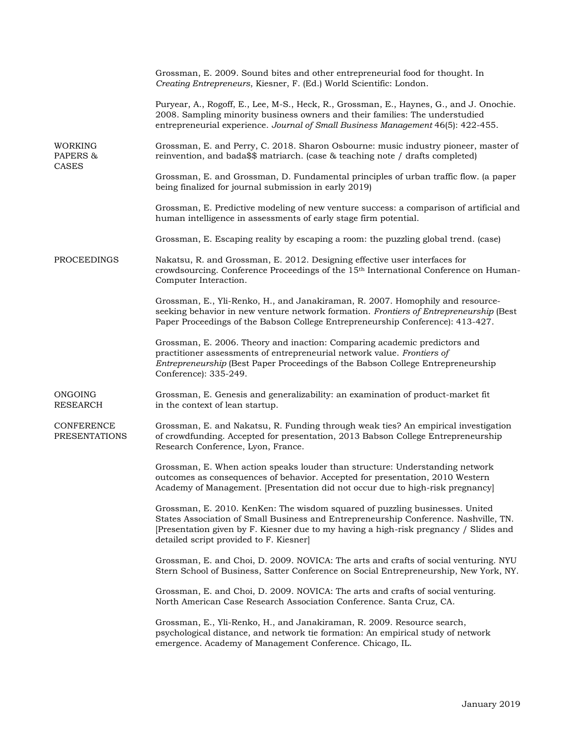|                                            | Grossman, E. 2009. Sound bites and other entrepreneurial food for thought. In<br>Creating Entrepreneurs, Kiesner, F. (Ed.) World Scientific: London.                                                                                                                                                     |
|--------------------------------------------|----------------------------------------------------------------------------------------------------------------------------------------------------------------------------------------------------------------------------------------------------------------------------------------------------------|
|                                            | Puryear, A., Rogoff, E., Lee, M-S., Heck, R., Grossman, E., Haynes, G., and J. Onochie.<br>2008. Sampling minority business owners and their families: The understudied<br>entrepreneurial experience. Journal of Small Business Management 46(5): 422-455.                                              |
| <b>WORKING</b><br>PAPERS &<br><b>CASES</b> | Grossman, E. and Perry, C. 2018. Sharon Osbourne: music industry pioneer, master of<br>reinvention, and bada\$\$ matriarch. (case & teaching note / drafts completed)                                                                                                                                    |
|                                            | Grossman, E. and Grossman, D. Fundamental principles of urban traffic flow. (a paper<br>being finalized for journal submission in early 2019)                                                                                                                                                            |
|                                            | Grossman, E. Predictive modeling of new venture success: a comparison of artificial and<br>human intelligence in assessments of early stage firm potential.                                                                                                                                              |
|                                            | Grossman, E. Escaping reality by escaping a room: the puzzling global trend. (case)                                                                                                                                                                                                                      |
| <b>PROCEEDINGS</b>                         | Nakatsu, R. and Grossman, E. 2012. Designing effective user interfaces for<br>crowdsourcing. Conference Proceedings of the 15 <sup>th</sup> International Conference on Human-<br>Computer Interaction.                                                                                                  |
|                                            | Grossman, E., Yli-Renko, H., and Janakiraman, R. 2007. Homophily and resource-<br>seeking behavior in new venture network formation. Frontiers of Entrepreneurship (Best<br>Paper Proceedings of the Babson College Entrepreneurship Conference): 413-427.                                               |
|                                            | Grossman, E. 2006. Theory and inaction: Comparing academic predictors and<br>practitioner assessments of entrepreneurial network value. Frontiers of<br>Entrepreneurship (Best Paper Proceedings of the Babson College Entrepreneurship<br>Conference): 335-249.                                         |
| <b>ONGOING</b><br><b>RESEARCH</b>          | Grossman, E. Genesis and generalizability: an examination of product-market fit<br>in the context of lean startup.                                                                                                                                                                                       |
| <b>CONFERENCE</b><br><b>PRESENTATIONS</b>  | Grossman, E. and Nakatsu, R. Funding through weak ties? An empirical investigation<br>of crowdfunding. Accepted for presentation, 2013 Babson College Entrepreneurship<br>Research Conference, Lyon, France.                                                                                             |
|                                            | Grossman, E. When action speaks louder than structure: Understanding network<br>outcomes as consequences of behavior. Accepted for presentation, 2010 Western<br>Academy of Management. [Presentation did not occur due to high-risk pregnancy]                                                          |
|                                            | Grossman, E. 2010. KenKen: The wisdom squared of puzzling businesses. United<br>States Association of Small Business and Entrepreneurship Conference. Nashville, TN.<br>[Presentation given by F. Kiesner due to my having a high-risk pregnancy / Slides and<br>detailed script provided to F. Kiesner] |
|                                            | Grossman, E. and Choi, D. 2009. NOVICA: The arts and crafts of social venturing. NYU<br>Stern School of Business, Satter Conference on Social Entrepreneurship, New York, NY.                                                                                                                            |
|                                            | Grossman, E. and Choi, D. 2009. NOVICA: The arts and crafts of social venturing.<br>North American Case Research Association Conference. Santa Cruz, CA.                                                                                                                                                 |
|                                            | Grossman, E., Yli-Renko, H., and Janakiraman, R. 2009. Resource search,<br>psychological distance, and network tie formation: An empirical study of network<br>emergence. Academy of Management Conference. Chicago, IL.                                                                                 |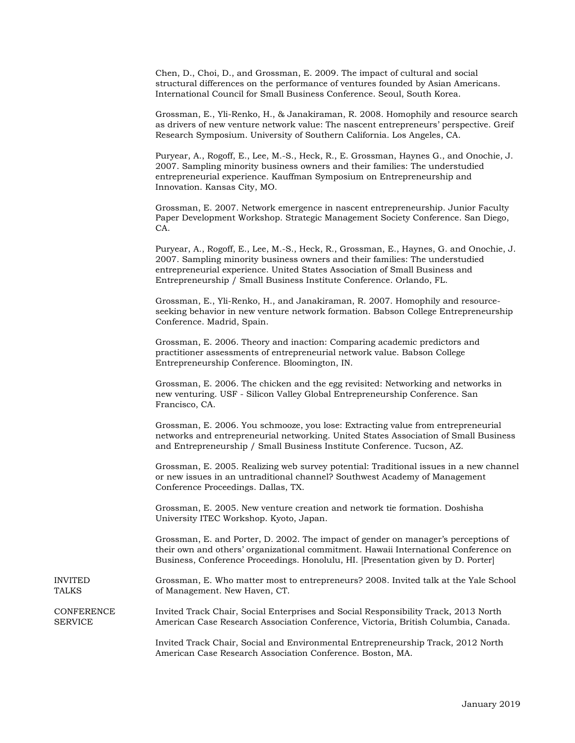Chen, D., Choi, D., and Grossman, E. 2009. The impact of cultural and social structural differences on the performance of ventures founded by Asian Americans. International Council for Small Business Conference. Seoul, South Korea.

Grossman, E., Yli-Renko, H., & Janakiraman, R. 2008. Homophily and resource search as drivers of new venture network value: The nascent entrepreneurs' perspective. Greif Research Symposium. University of Southern California. Los Angeles, CA.

Puryear, A., Rogoff, E., Lee, M.-S., Heck, R., E. Grossman, Haynes G., and Onochie, J. 2007. Sampling minority business owners and their families: The understudied entrepreneurial experience. Kauffman Symposium on Entrepreneurship and Innovation. Kansas City, MO.

Grossman, E. 2007. Network emergence in nascent entrepreneurship. Junior Faculty Paper Development Workshop. Strategic Management Society Conference. San Diego, CA.

Puryear, A., Rogoff, E., Lee, M.-S., Heck, R., Grossman, E., Haynes, G. and Onochie, J. 2007. Sampling minority business owners and their families: The understudied entrepreneurial experience. United States Association of Small Business and Entrepreneurship / Small Business Institute Conference. Orlando, FL.

Grossman, E., Yli-Renko, H., and Janakiraman, R. 2007. Homophily and resourceseeking behavior in new venture network formation. Babson College Entrepreneurship Conference. Madrid, Spain.

Grossman, E. 2006. Theory and inaction: Comparing academic predictors and practitioner assessments of entrepreneurial network value. Babson College Entrepreneurship Conference. Bloomington, IN.

Grossman, E. 2006. The chicken and the egg revisited: Networking and networks in new venturing. USF - Silicon Valley Global Entrepreneurship Conference. San Francisco, CA.

Grossman, E. 2006. You schmooze, you lose: Extracting value from entrepreneurial networks and entrepreneurial networking. United States Association of Small Business and Entrepreneurship / Small Business Institute Conference. Tucson, AZ.

Grossman, E. 2005. Realizing web survey potential: Traditional issues in a new channel or new issues in an untraditional channel? Southwest Academy of Management Conference Proceedings. Dallas, TX.

Grossman, E. 2005. New venture creation and network tie formation. Doshisha University ITEC Workshop. Kyoto, Japan.

Grossman, E. and Porter, D. 2002. The impact of gender on manager's perceptions of their own and others' organizational commitment. Hawaii International Conference on Business, Conference Proceedings. Honolulu, HI. [Presentation given by D. Porter]

INVITED Grossman, E. Who matter most to entrepreneurs? 2008. Invited talk at the Yale School TALKS of Management. New Haven, CT.

CONFERENCE Invited Track Chair, Social Enterprises and Social Responsibility Track, 2013 North SERVICE American Case Research Association Conference, Victoria, British Columbia, Canada.

> Invited Track Chair, Social and Environmental Entrepreneurship Track, 2012 North American Case Research Association Conference. Boston, MA.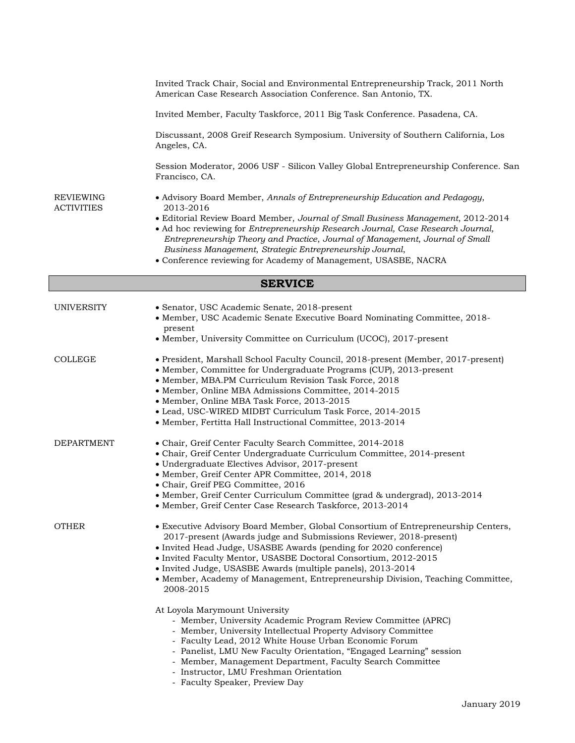|                                       | Invited Track Chair, Social and Environmental Entrepreneurship Track, 2011 North<br>American Case Research Association Conference. San Antonio, TX.                                                                                                                                                                                                                                                                                              |  |
|---------------------------------------|--------------------------------------------------------------------------------------------------------------------------------------------------------------------------------------------------------------------------------------------------------------------------------------------------------------------------------------------------------------------------------------------------------------------------------------------------|--|
|                                       | Invited Member, Faculty Taskforce, 2011 Big Task Conference. Pasadena, CA.                                                                                                                                                                                                                                                                                                                                                                       |  |
|                                       | Discussant, 2008 Greif Research Symposium. University of Southern California, Los<br>Angeles, CA.                                                                                                                                                                                                                                                                                                                                                |  |
|                                       | Session Moderator, 2006 USF - Silicon Valley Global Entrepreneurship Conference. San<br>Francisco, CA.                                                                                                                                                                                                                                                                                                                                           |  |
| <b>REVIEWING</b><br><b>ACTIVITIES</b> | • Advisory Board Member, Annals of Entrepreneurship Education and Pedagogy,<br>2013-2016                                                                                                                                                                                                                                                                                                                                                         |  |
|                                       | • Editorial Review Board Member, Journal of Small Business Management, 2012-2014<br>• Ad hoc reviewing for Entrepreneurship Research Journal, Case Research Journal,<br>Entrepreneurship Theory and Practice, Journal of Management, Journal of Small<br>Business Management, Strategic Entrepreneurship Journal,<br>• Conference reviewing for Academy of Management, USASBE, NACRA                                                             |  |
| <b>SERVICE</b>                        |                                                                                                                                                                                                                                                                                                                                                                                                                                                  |  |
| <b>UNIVERSITY</b>                     | • Senator, USC Academic Senate, 2018-present<br>• Member, USC Academic Senate Executive Board Nominating Committee, 2018-<br>present<br>• Member, University Committee on Curriculum (UCOC), 2017-present                                                                                                                                                                                                                                        |  |
| COLLEGE                               | • President, Marshall School Faculty Council, 2018-present (Member, 2017-present)<br>• Member, Committee for Undergraduate Programs (CUP), 2013-present<br>• Member, MBA.PM Curriculum Revision Task Force, 2018<br>• Member, Online MBA Admissions Committee, 2014-2015<br>• Member, Online MBA Task Force, 2013-2015<br>• Lead, USC-WIRED MIDBT Curriculum Task Force, 2014-2015<br>· Member, Fertitta Hall Instructional Committee, 2013-2014 |  |
| <b>DEPARTMENT</b>                     | • Chair, Greif Center Faculty Search Committee, 2014-2018<br>• Chair, Greif Center Undergraduate Curriculum Committee, 2014-present<br>· Undergraduate Electives Advisor, 2017-present<br>· Member, Greif Center APR Committee, 2014, 2018<br>• Chair, Greif PEG Committee, 2016                                                                                                                                                                 |  |

- Member, Greif Center Curriculum Committee (grad & undergrad), 2013-2014
- Member, Greif Center Case Research Taskforce, 2013-2014

- OTHER Executive Advisory Board Member, Global Consortium of Entrepreneurship Centers, 2017-present (Awards judge and Submissions Reviewer, 2018-present)
	- Invited Head Judge, USASBE Awards (pending for 2020 conference)
	- Invited Faculty Mentor, USASBE Doctoral Consortium, 2012-2015
		- Invited Judge, USASBE Awards (multiple panels), 2013-2014
		- Member, Academy of Management, Entrepreneurship Division, Teaching Committee, 2008-2015

At Loyola Marymount University

- Member, University Academic Program Review Committee (APRC)
- Member, University Intellectual Property Advisory Committee
	- Faculty Lead, 2012 White House Urban Economic Forum
	- Panelist, LMU New Faculty Orientation, "Engaged Learning" session
	- Member, Management Department, Faculty Search Committee
	- Instructor, LMU Freshman Orientation
	- Faculty Speaker, Preview Day